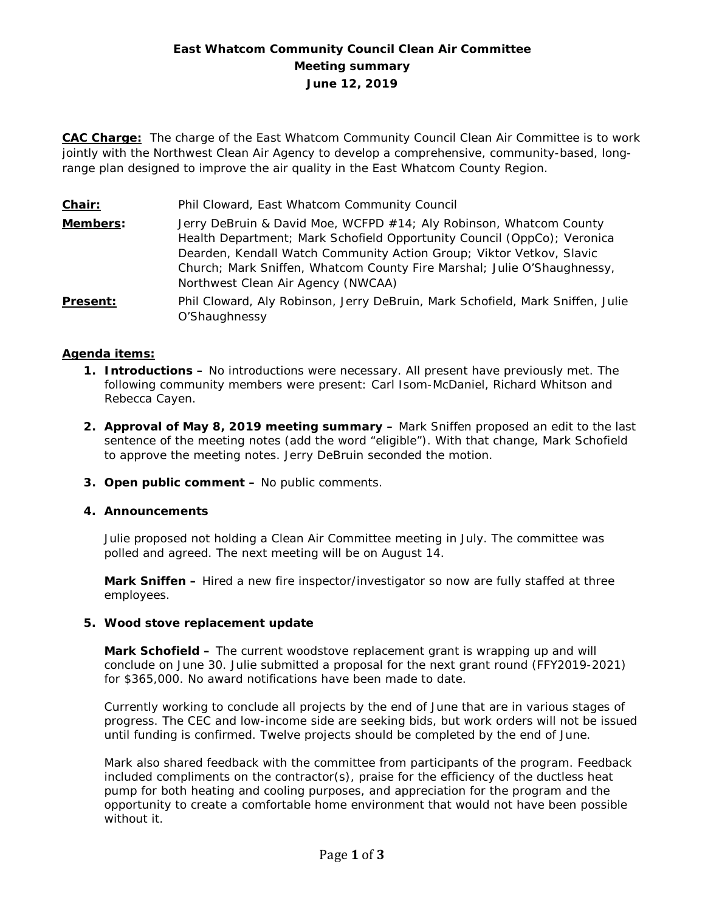# **East Whatcom Community Council Clean Air Committee Meeting summary June 12, 2019**

**CAC Charge:** The charge of the East Whatcom Community Council Clean Air Committee is to work jointly with the Northwest Clean Air Agency to develop a comprehensive, community-based, longrange plan designed to improve the air quality in the East Whatcom County Region.

**Chair:** Phil Cloward, East Whatcom Community Council **Members:** Jerry DeBruin & David Moe, WCFPD #14; Aly Robinson, Whatcom County Health Department; Mark Schofield Opportunity Council (OppCo); Veronica Dearden, Kendall Watch Community Action Group; Viktor Vetkov, Slavic Church; Mark Sniffen, Whatcom County Fire Marshal; Julie O'Shaughnessy, Northwest Clean Air Agency (NWCAA) **Present:** Phil Cloward, Aly Robinson, Jerry DeBruin, Mark Schofield, Mark Sniffen, Julie O'Shaughnessy

#### **Agenda items:**

- **1. Introductions –** No introductions were necessary. All present have previously met. The following community members were present: Carl Isom-McDaniel, Richard Whitson and Rebecca Cayen.
- **2. Approval of May 8, 2019 meeting summary –** Mark Sniffen proposed an edit to the last sentence of the meeting notes (add the word "eligible"). With that change, Mark Schofield to approve the meeting notes. Jerry DeBruin seconded the motion.
- **3. Open public comment –** No public comments.
- **4. Announcements**

Julie proposed not holding a Clean Air Committee meeting in July. The committee was polled and agreed. The next meeting will be on August 14.

**Mark Sniffen –** Hired a new fire inspector/investigator so now are fully staffed at three employees.

#### **5. Wood stove replacement update**

**Mark Schofield –** The current woodstove replacement grant is wrapping up and will conclude on June 30. Julie submitted a proposal for the next grant round (FFY2019-2021) for \$365,000. No award notifications have been made to date.

Currently working to conclude all projects by the end of June that are in various stages of progress. The CEC and low-income side are seeking bids, but work orders will not be issued until funding is confirmed. Twelve projects should be completed by the end of June.

Mark also shared feedback with the committee from participants of the program. Feedback included compliments on the contractor(s), praise for the efficiency of the ductless heat pump for both heating and cooling purposes, and appreciation for the program and the opportunity to create a comfortable home environment that would not have been possible without it.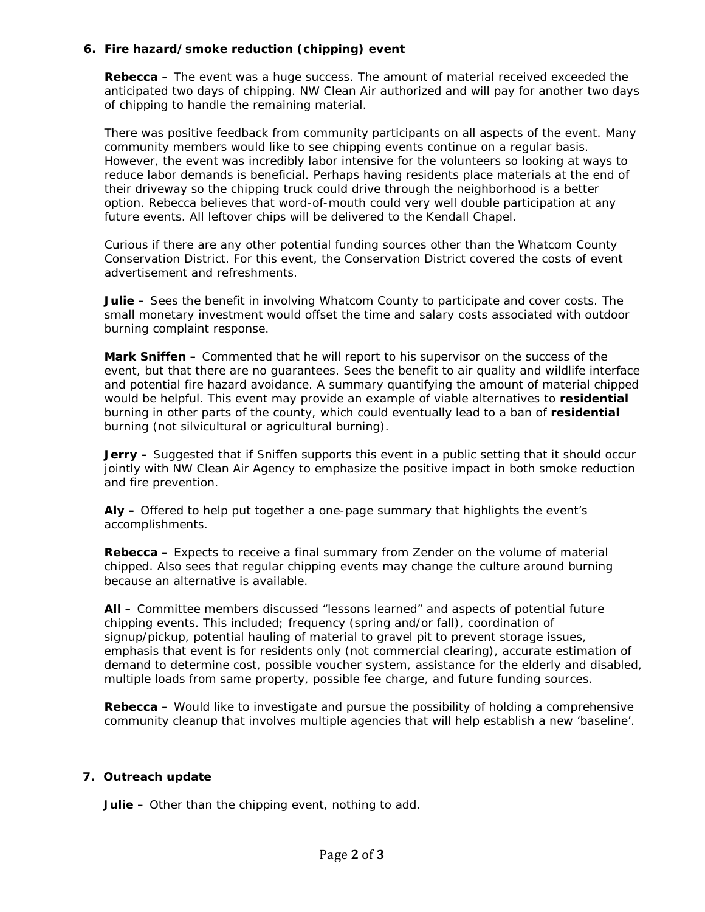## **6. Fire hazard/smoke reduction (chipping) event**

**Rebecca –** The event was a huge success. The amount of material received exceeded the anticipated two days of chipping. NW Clean Air authorized and will pay for another two days of chipping to handle the remaining material.

There was positive feedback from community participants on all aspects of the event. Many community members would like to see chipping events continue on a regular basis. However, the event was incredibly labor intensive for the volunteers so looking at ways to reduce labor demands is beneficial. Perhaps having residents place materials at the end of their driveway so the chipping truck could drive through the neighborhood is a better option. Rebecca believes that word-of-mouth could very well double participation at any future events. All leftover chips will be delivered to the Kendall Chapel.

Curious if there are any other potential funding sources other than the Whatcom County Conservation District. For this event, the Conservation District covered the costs of event advertisement and refreshments.

**Julie –** Sees the benefit in involving Whatcom County to participate and cover costs. The small monetary investment would offset the time and salary costs associated with outdoor burning complaint response.

**Mark Sniffen –** Commented that he will report to his supervisor on the success of the event, but that there are no guarantees. Sees the benefit to air quality and wildlife interface and potential fire hazard avoidance. A summary quantifying the amount of material chipped would be helpful. This event may provide an example of viable alternatives to **residential** burning in other parts of the county, which could eventually lead to a ban of **residential** burning (not silvicultural or agricultural burning).

**Jerry –** Suggested that if Sniffen supports this event in a public setting that it should occur jointly with NW Clean Air Agency to emphasize the positive impact in both smoke reduction and fire prevention.

**Aly –** Offered to help put together a one-page summary that highlights the event's accomplishments.

**Rebecca –** Expects to receive a final summary from Zender on the volume of material chipped. Also sees that regular chipping events may change the culture around burning because an alternative is available.

**All –** Committee members discussed "lessons learned" and aspects of potential future chipping events. This included; frequency (spring and/or fall), coordination of signup/pickup, potential hauling of material to gravel pit to prevent storage issues, emphasis that event is for residents only (not commercial clearing), accurate estimation of demand to determine cost, possible voucher system, assistance for the elderly and disabled, multiple loads from same property, possible fee charge, and future funding sources.

**Rebecca –** Would like to investigate and pursue the possibility of holding a comprehensive community cleanup that involves multiple agencies that will help establish a new 'baseline'.

#### **7. Outreach update**

**Julie –** Other than the chipping event, nothing to add.